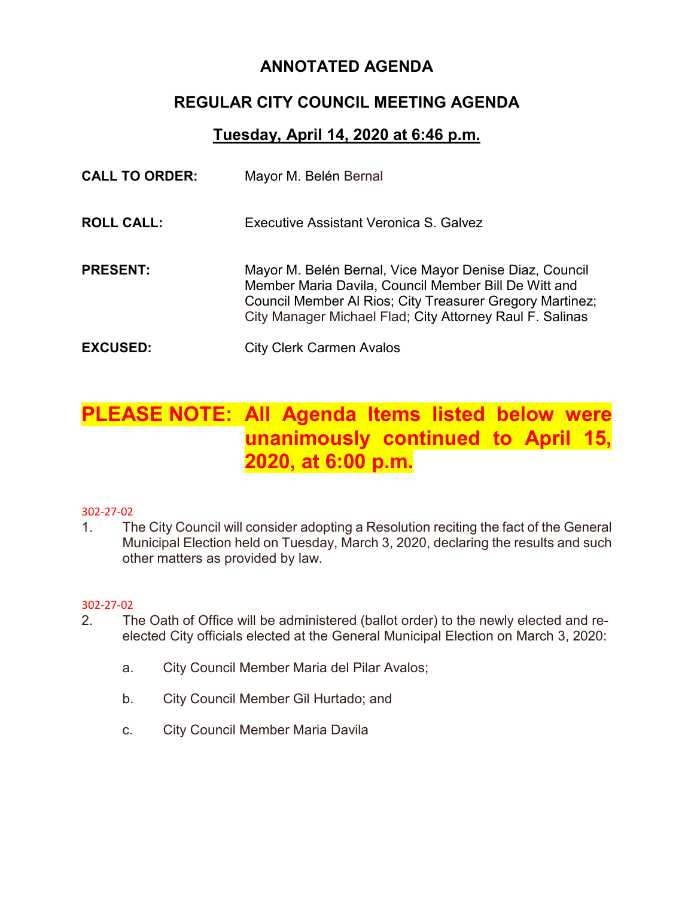## **ANNOTATED AGENDA**

## **REGULAR CITY COUNCIL MEETING AGENDA**

### **Tuesday, April 14, 2020 at 6:46 p.m.**

| <b>CALL TO ORDER:</b> | Mayor M. Belén Bernal                                                                                                                                                                                                                  |
|-----------------------|----------------------------------------------------------------------------------------------------------------------------------------------------------------------------------------------------------------------------------------|
| <b>ROLL CALL:</b>     | Executive Assistant Veronica S. Galvez                                                                                                                                                                                                 |
| <b>PRESENT:</b>       | Mayor M. Belén Bernal, Vice Mayor Denise Diaz, Council<br>Member Maria Davila, Council Member Bill De Witt and<br>Council Member Al Rios; City Treasurer Gregory Martinez;<br>City Manager Michael Flad; City Attorney Raul F. Salinas |
| <b>EXCUSED:</b>       | <b>City Clerk Carmen Avalos</b>                                                                                                                                                                                                        |

# **PLEASE NOTE: All Agenda Items listed below were unanimously continued to April 15, 2020, at 6:00 p.m.**

#### 302-27-02

1. The City Council will consider adopting a Resolution reciting the fact of the General Municipal Election held on Tuesday, March 3, 2020, declaring the results and such other matters as provided by law.

#### 302-27-02

- 2. The Oath of Office will be administered (ballot order) to the newly elected and reelected City officials elected at the General Municipal Election on March 3, 2020:
	- a. City Council Member Maria del Pilar Avalos;
	- b. City Council Member Gil Hurtado; and
	- c. City Council Member Maria Davila